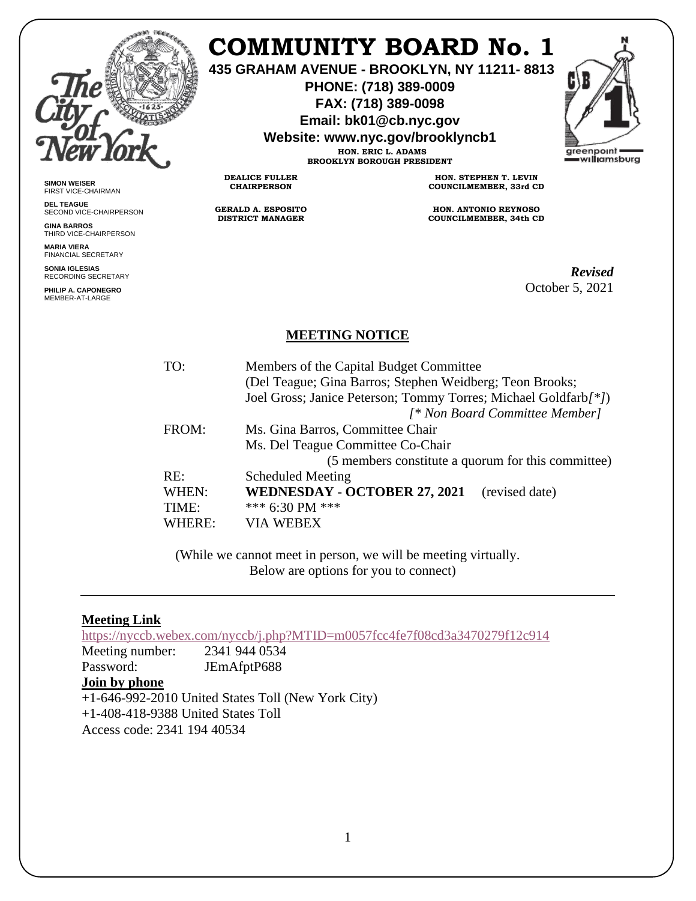

**SIMON WEISER** FIRST VICE-CHAIRMAN **DEL TEAGUE**

**GINA BARROS**

**MARIA VIERA** FINANCIAL SECRETARY **SONIA IGLESIAS** RECORDING SECRETARY **PHILIP A. CAPONEGRO** MEMBER-AT-LARGE

SECOND VICE-CHAIRPERSON

THIRD VICE-CHAIRPERSON

# **COMMUNITY BOARD No. 1**

**435 GRAHAM AVENUE - BROOKLYN, NY 11211- 8813**

**PHONE: (718) 389-0009 FAX: (718) 389-0098**

**Email: bk01@cb.nyc.gov**

**Website: www.nyc.gov/brooklyncb1**

**HON. ERIC L. ADAMS BROOKLYN BOROUGH PRESIDENT**

**DEALICE FULLER CHAIRPERSON**

**GERALD A. ESPOSITO DISTRICT MANAGER**

**HON. STEPHEN T. LEVIN COUNCILMEMBER, 33rd CD**

**HON. ANTONIO REYNOSO COUNCILMEMBER, 34th CD**

> *Revised*  October 5, 2021

### **MEETING NOTICE**

| TO:    | Members of the Capital Budget Committee<br>(Del Teague; Gina Barros; Stephen Weidberg; Teon Brooks; |
|--------|-----------------------------------------------------------------------------------------------------|
|        | Joel Gross; Janice Peterson; Tommy Torres; Michael Goldfarb/*])                                     |
|        | [* Non Board Committee Member]                                                                      |
| FROM:  | Ms. Gina Barros, Committee Chair                                                                    |
|        | Ms. Del Teague Committee Co-Chair                                                                   |
|        | (5 members constitute a quorum for this committee)                                                  |
| RE:    | <b>Scheduled Meeting</b>                                                                            |
| WHEN:  | <b>WEDNESDAY - OCTOBER 27, 2021</b><br>(revised date)                                               |
| TIME:  | *** 6:30 PM ***                                                                                     |
| WHERE: | <b>VIA WEBEX</b>                                                                                    |
|        |                                                                                                     |

(While we cannot meet in person, we will be meeting virtually. Below are options for you to connect)

#### **Meeting Link**

<https://nyccb.webex.com/nyccb/j.php?MTID=m0057fcc4fe7f08cd3a3470279f12c914>

Meeting number: 2341 944 0534 Password: JEmAfptP688

#### **Join by phone**

+1-646-992-2010 United States Toll (New York City) +1-408-418-9388 United States Toll

Access code: 2341 194 40534